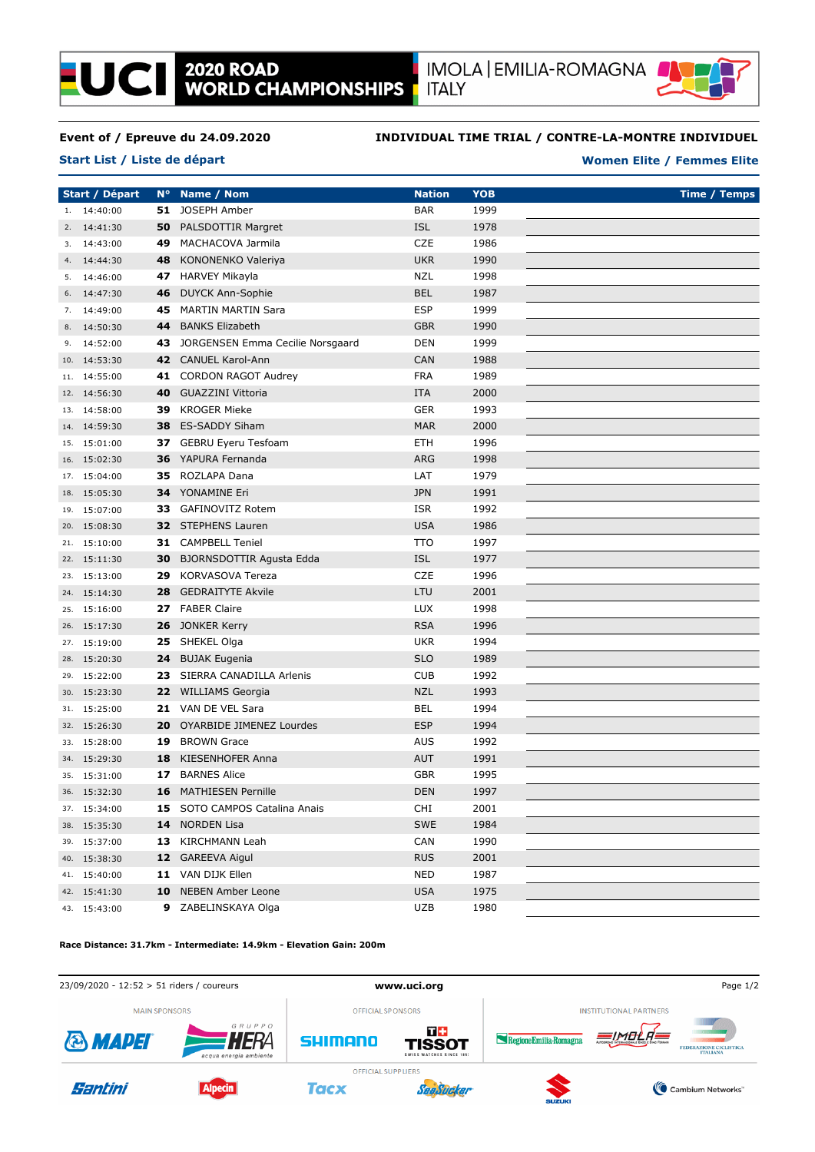

# **Event of / Epreuve du 24.09.2020**

**Start List / Liste de départ**

**LUCII** 

### **INDIVIDUAL TIME TRIAL / CONTRE-LA-MONTRE INDIVIDUEL**

#### **Women Elite / Femmes Elite**

**Start / Départ N° Name / Nom Nation Time / Temps YOB** 1. 14:40:00 **51** JOSEPH Amber **BAR** 1999 2. 14:41:30 **50** PALSDOTTIR Margret **ISL** 1978 3. 14:43:00 **49** MACHACOVA Jarmila CZE 1986 4. 14:44:30 **48** KONONENKO Valeriya UKR 1990 5. 14:46:00 **47** HARVEY Mikayla **NZL** 1998 6. 14:47:30 **46** DUYCK Ann-Sophie BEL 1987 7. 14:49:00 **45** MARTIN MARTIN Sara ESP 1999 8. 14:50:30 **44** BANKS Elizabeth GBR 1990 9. 14:52:00 **43** JORGENSEN Emma Cecilie Norsgaard DEN 1999 10. 14:53:30 **42** CANUEL Karol-Ann CAN 1988 11. 14:55:00 **41** CORDON RAGOT Audrey FRA 1989 12. 14:56:30 **40** GUAZZINI Vittoria ITA 2000 13. 14:58:00 **39** KROGER Mieke **GER** 1993 14. 14:59:30 **38** ES-SADDY Siham MAR 2000 15. 15:01:00 **37** GEBRU Eyeru Tesfoam ETH 1996 16. 15:02:30 **36** YAPURA Fernanda **ARG** 1998 17. 15:04:00 **35** ROZLAPA Dana LAT 1979 18. 15:05:30 **34** YONAMINE Fri JPN 1991 19. 15:07:00 **33** GAFINOVITZ Rotem **ISR** ISR 1992 20. 15:08:30 **32** STEPHENS Lauren USA 1986 21. 15:10:00 **31** CAMPBELL Teniel TTO 1997 22. 15:11:30 **30** BJORNSDOTTIR Agusta Edda **ISL** 1977 23. 15:13:00 **29** KORVASOVA Tereza **CZE** 1996 24. 15:14:30 **28** GEDRAITYTE Akvile LTU 2001 25. 15:16:00 **27** FABER Claire LUX 1998 26. 15:17:30 **26** JONKER Kerry **RSA** 1996 27. 15:19:00 **25** SHEKEL Olga UKR 1994 28. 15:20:30 **24** BUJAK Eugenia SLO 1989 29. 15:22:00 **23** SIERRA CANADILLA Arlenis CUB 1992 30. 15:23:30 **22** WILLIAMS Georgia NZL 1993 31. 15:25:00 **21** VAN DE VEL Sara BEL 1994 32. 15:26:30 **20** OYARBIDE JIMENEZ Lourdes **ESP** 1994 33. 15:28:00 **19** BROWN Grace **AUS** AUS 1992 34. 15:29:30 **18** KIESENHOFER Anna **AUT** 1991 35. 15:31:00 **17** BARNES Alice GBR 1995 36. 15:32:30 **16** MATHIESEN Pernille DEN 1997 37. 15:34:00 **15** SOTO CAMPOS Catalina Anais CHI 2001 38. 15:35:30 **14** NORDEN Lisa SWE 1984 39. 15:37:00 **13** KIRCHMANN Leah CAN 1990 40. 15:38:30 **12** GAREEVA Aigul RUS 2001 41. 15:40:00 **11** VAN DIJK Ellen **1987** NED 1987 42. 15:41:30 **10** NEBEN Amber Leone USA 1975 43. 15:43:00 **9** ZABELINSKAYA Olga **1980** UZB 1980

#### **Race Distance: 31.7km - Intermediate: 14.9km - Elevation Gain: 200m**